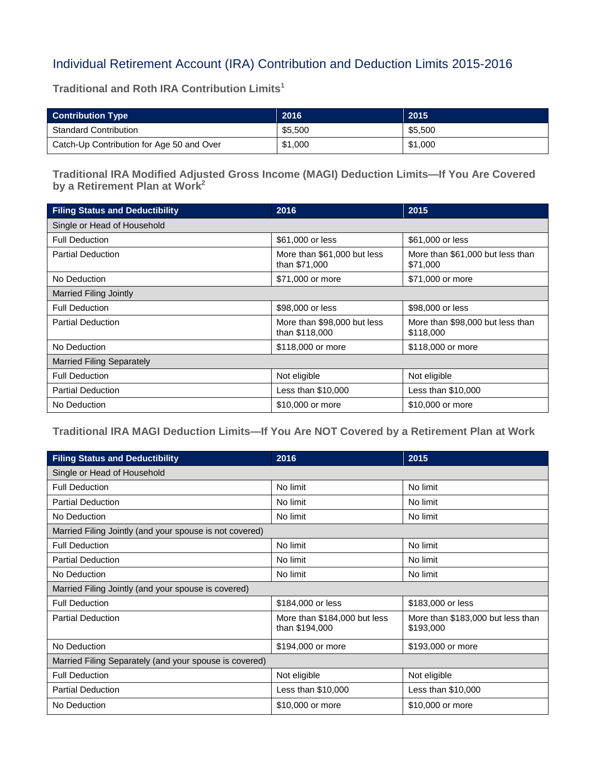## Individual Retirement Account (IRA) Contribution and Deduction Limits 2015-2016

**Traditional and Roth IRA Contribution Limits1**

| <b>Contribution Type</b>                  | 2016    | 2015    |
|-------------------------------------------|---------|---------|
| <b>Standard Contribution</b>              | \$5,500 | \$5.500 |
| Catch-Up Contribution for Age 50 and Over | \$1,000 | \$1,000 |

**Traditional IRA Modified Adjusted Gross Income (MAGI) Deduction Limits—If You Are Covered by a Retirement Plan at Work2**

| <b>Filing Status and Deductibility</b> | 2016                                          | 2015                                          |  |  |
|----------------------------------------|-----------------------------------------------|-----------------------------------------------|--|--|
| Single or Head of Household            |                                               |                                               |  |  |
| <b>Full Deduction</b>                  | \$61,000 or less                              | \$61,000 or less                              |  |  |
| <b>Partial Deduction</b>               | More than \$61,000 but less<br>than \$71,000  | More than \$61,000 but less than<br>\$71,000  |  |  |
| No Deduction                           | \$71,000 or more                              | \$71,000 or more                              |  |  |
| <b>Married Filing Jointly</b>          |                                               |                                               |  |  |
| <b>Full Deduction</b>                  | \$98,000 or less                              | \$98,000 or less                              |  |  |
| <b>Partial Deduction</b>               | More than \$98,000 but less<br>than \$118,000 | More than \$98,000 but less than<br>\$118,000 |  |  |
| No Deduction                           | \$118,000 or more                             | \$118,000 or more                             |  |  |
| <b>Married Filing Separately</b>       |                                               |                                               |  |  |
| <b>Full Deduction</b>                  | Not eligible                                  | Not eligible                                  |  |  |
| <b>Partial Deduction</b>               | Less than $$10,000$                           | Less than $$10,000$                           |  |  |
| No Deduction                           | \$10,000 or more                              | \$10,000 or more                              |  |  |

## **Traditional IRA MAGI Deduction Limits—If You Are NOT Covered by a Retirement Plan at Work**

| <b>Filing Status and Deductibility</b>                  | 2016                                           | 2015                                           |  |  |
|---------------------------------------------------------|------------------------------------------------|------------------------------------------------|--|--|
| Single or Head of Household                             |                                                |                                                |  |  |
| <b>Full Deduction</b>                                   | No limit                                       | No limit                                       |  |  |
| <b>Partial Deduction</b>                                | No limit                                       | No limit                                       |  |  |
| No Deduction                                            | No limit                                       | No limit                                       |  |  |
| Married Filing Jointly (and your spouse is not covered) |                                                |                                                |  |  |
| <b>Full Deduction</b>                                   | No limit                                       | No limit                                       |  |  |
| <b>Partial Deduction</b>                                | No limit                                       | No limit                                       |  |  |
| No Deduction                                            | No limit                                       | No limit                                       |  |  |
| Married Filing Jointly (and your spouse is covered)     |                                                |                                                |  |  |
| <b>Full Deduction</b>                                   | \$184,000 or less                              | \$183,000 or less                              |  |  |
| <b>Partial Deduction</b>                                | More than \$184,000 but less<br>than \$194,000 | More than \$183,000 but less than<br>\$193,000 |  |  |
| No Deduction                                            | \$194,000 or more                              | \$193,000 or more                              |  |  |
| Married Filing Separately (and your spouse is covered)  |                                                |                                                |  |  |
| <b>Full Deduction</b>                                   | Not eligible                                   | Not eligible                                   |  |  |
| <b>Partial Deduction</b>                                | Less than \$10,000                             | Less than $$10,000$                            |  |  |
| No Deduction                                            | \$10,000 or more                               | \$10,000 or more                               |  |  |